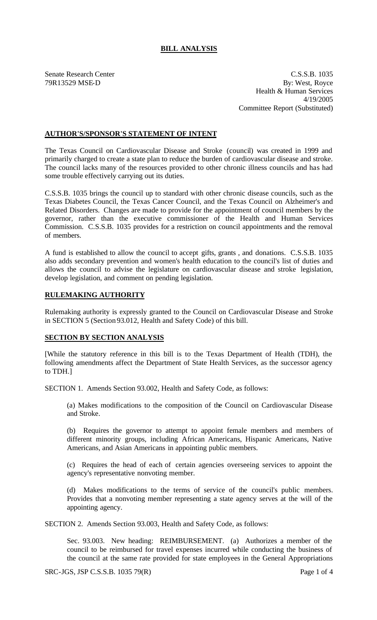## **BILL ANALYSIS**

Senate Research Center C.S.S.B. 1035 79R13529 MSE-D By: West, Royce Health & Human Services 4/19/2005 Committee Report (Substituted)

## **AUTHOR'S/SPONSOR'S STATEMENT OF INTENT**

The Texas Council on Cardiovascular Disease and Stroke (council) was created in 1999 and primarily charged to create a state plan to reduce the burden of cardiovascular disease and stroke. The council lacks many of the resources provided to other chronic illness councils and has had some trouble effectively carrying out its duties.

C.S.S.B. 1035 brings the council up to standard with other chronic disease councils, such as the Texas Diabetes Council, the Texas Cancer Council, and the Texas Council on Alzheimer's and Related Disorders. Changes are made to provide for the appointment of council members by the governor, rather than the executive commissioner of the Health and Human Services Commission. C.S.S.B. 1035 provides for a restriction on council appointments and the removal of members.

A fund is established to allow the council to accept gifts, grants , and donations. C.S.S.B. 1035 also adds secondary prevention and women's health education to the council's list of duties and allows the council to advise the legislature on cardiovascular disease and stroke legislation, develop legislation, and comment on pending legislation.

## **RULEMAKING AUTHORITY**

Rulemaking authority is expressly granted to the Council on Cardiovascular Disease and Stroke in SECTION 5 (Section 93.012, Health and Safety Code) of this bill.

## **SECTION BY SECTION ANALYSIS**

[While the statutory reference in this bill is to the Texas Department of Health (TDH), the following amendments affect the Department of State Health Services, as the successor agency to TDH.]

SECTION 1. Amends Section 93.002, Health and Safety Code, as follows:

(a) Makes modifications to the composition of the Council on Cardiovascular Disease and Stroke.

(b) Requires the governor to attempt to appoint female members and members of different minority groups, including African Americans, Hispanic Americans, Native Americans, and Asian Americans in appointing public members.

(c) Requires the head of each of certain agencies overseeing services to appoint the agency's representative nonvoting member.

(d) Makes modifications to the terms of service of the council's public members. Provides that a nonvoting member representing a state agency serves at the will of the appointing agency.

SECTION 2. Amends Section 93.003, Health and Safety Code, as follows:

Sec. 93.003. New heading: REIMBURSEMENT. (a) Authorizes a member of the council to be reimbursed for travel expenses incurred while conducting the business of the council at the same rate provided for state employees in the General Appropriations

 $SRC-JGS$ ,  $JSP C.S.S.B.$   $1035 79(R)$  Page 1 of 4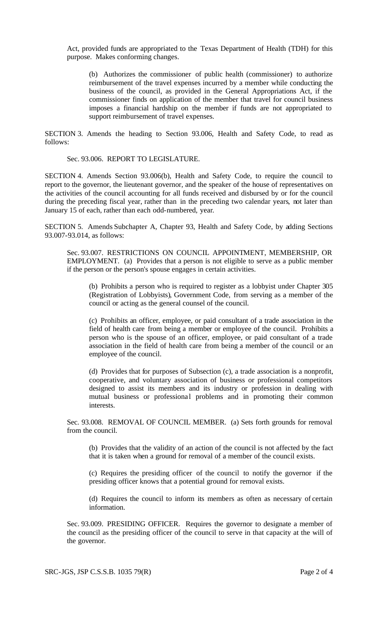Act, provided funds are appropriated to the Texas Department of Health (TDH) for this purpose. Makes conforming changes.

(b) Authorizes the commissioner of public health (commissioner) to authorize reimbursement of the travel expenses incurred by a member while conducting the business of the council, as provided in the General Appropriations Act, if the commissioner finds on application of the member that travel for council business imposes a financial hardship on the member if funds are not appropriated to support reimbursement of travel expenses.

SECTION 3. Amends the heading to Section 93.006, Health and Safety Code, to read as follows:

Sec. 93.006. REPORT TO LEGISLATURE.

SECTION 4. Amends Section 93.006(b), Health and Safety Code, to require the council to report to the governor, the lieutenant governor, and the speaker of the house of representatives on the activities of the council accounting for all funds received and disbursed by or for the council during the preceding fiscal year, rather than in the preceding two calendar years, not later than January 15 of each, rather than each odd-numbered, year.

SECTION 5. Amends Subchapter A, Chapter 93, Health and Safety Code, by adding Sections 93.007-93.014, as follows:

Sec. 93.007. RESTRICTIONS ON COUNCIL APPOINTMENT, MEMBERSHIP, OR EMPLOYMENT. (a) Provides that a person is not eligible to serve as a public member if the person or the person's spouse engages in certain activities.

(b) Prohibits a person who is required to register as a lobbyist under Chapter 305 (Registration of Lobbyists), Government Code, from serving as a member of the council or acting as the general counsel of the council.

(c) Prohibits an officer, employee, or paid consultant of a trade association in the field of health care from being a member or employee of the council. Prohibits a person who is the spouse of an officer, employee, or paid consultant of a trade association in the field of health care from being a member of the council or an employee of the council.

(d) Provides that for purposes of Subsection (c), a trade association is a nonprofit, cooperative, and voluntary association of business or professional competitors designed to assist its members and its industry or profession in dealing with mutual business or professional problems and in promoting their common interests.

Sec. 93.008. REMOVAL OF COUNCIL MEMBER. (a) Sets forth grounds for removal from the council.

(b) Provides that the validity of an action of the council is not affected by the fact that it is taken when a ground for removal of a member of the council exists.

(c) Requires the presiding officer of the council to notify the governor if the presiding officer knows that a potential ground for removal exists.

(d) Requires the council to inform its members as often as necessary of certain information.

Sec. 93.009. PRESIDING OFFICER. Requires the governor to designate a member of the council as the presiding officer of the council to serve in that capacity at the will of the governor.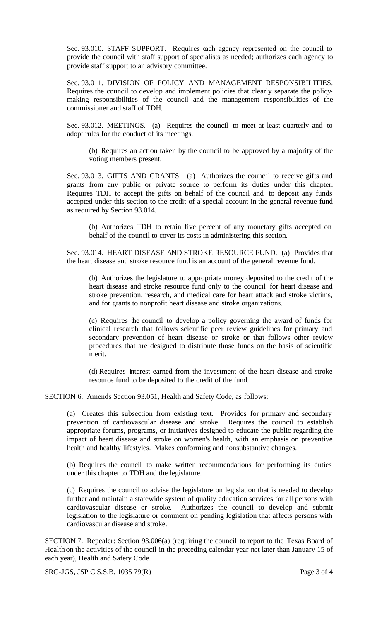Sec. 93.010. STAFF SUPPORT. Requires each agency represented on the council to provide the council with staff support of specialists as needed; authorizes each agency to provide staff support to an advisory committee.

Sec. 93.011. DIVISION OF POLICY AND MANAGEMENT RESPONSIBILITIES. Requires the council to develop and implement policies that clearly separate the policymaking responsibilities of the council and the management responsibilities of the commissioner and staff of TDH.

Sec. 93.012. MEETINGS. (a) Requires the council to meet at least quarterly and to adopt rules for the conduct of its meetings.

(b) Requires an action taken by the council to be approved by a majority of the voting members present.

Sec. 93.013. GIFTS AND GRANTS. (a) Authorizes the counc il to receive gifts and grants from any public or private source to perform its duties under this chapter. Requires TDH to accept the gifts on behalf of the council and to deposit any funds accepted under this section to the credit of a special account in the general revenue fund as required by Section 93.014.

(b) Authorizes TDH to retain five percent of any monetary gifts accepted on behalf of the council to cover its costs in administering this section.

Sec. 93.014. HEART DISEASE AND STROKE RESOURCE FUND. (a) Provides that the heart disease and stroke resource fund is an account of the general revenue fund.

(b) Authorizes the legislature to appropriate money deposited to the credit of the heart disease and stroke resource fund only to the council for heart disease and stroke prevention, research, and medical care for heart attack and stroke victims, and for grants to nonprofit heart disease and stroke organizations.

(c) Requires the council to develop a policy governing the award of funds for clinical research that follows scientific peer review guidelines for primary and secondary prevention of heart disease or stroke or that follows other review procedures that are designed to distribute those funds on the basis of scientific merit.

(d) Requires interest earned from the investment of the heart disease and stroke resource fund to be deposited to the credit of the fund.

SECTION 6. Amends Section 93.051, Health and Safety Code, as follows:

(a) Creates this subsection from existing text. Provides for primary and secondary prevention of cardiovascular disease and stroke. Requires the council to establish appropriate forums, programs, or initiatives designed to educate the public regarding the impact of heart disease and stroke on women's health, with an emphasis on preventive health and healthy lifestyles. Makes conforming and nonsubstantive changes.

(b) Requires the council to make written recommendations for performing its duties under this chapter to TDH and the legislature.

(c) Requires the council to advise the legislature on legislation that is needed to develop further and maintain a statewide system of quality education services for all persons with cardiovascular disease or stroke. Authorizes the council to develop and submit legislation to the legislature or comment on pending legislation that affects persons with cardiovascular disease and stroke.

SECTION 7. Repealer: Section 93.006(a) (requiring the council to report to the Texas Board of Health on the activities of the council in the preceding calendar year not later than January 15 of each year), Health and Safety Code.

SRC-JGS, JSP C.S.S.B. 1035 79(R) Page 3 of 4